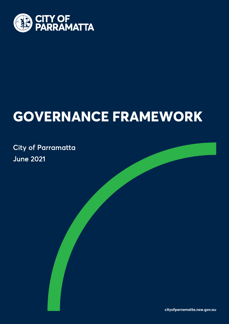

# **GOVERNANCE FRAMEWORK**

City of Parramatta June 2021

cityofparramatta.nsw.gov.au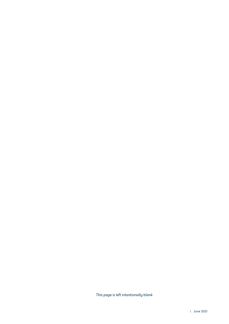*This page is left intentionally blank*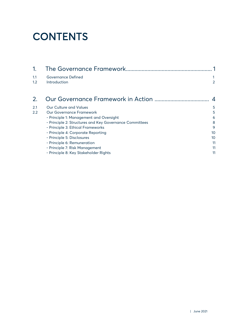# **CONTENTS**

|            | The Governance Framework.                               |    |
|------------|---------------------------------------------------------|----|
| 1.1<br>1.2 | <b>Governance Defined</b><br>Introduction               | 2  |
|            |                                                         |    |
| 2.1        | <b>Our Culture and Values</b>                           | 5  |
| 2.2        | <b>Our Governance Framework</b>                         | 5  |
|            | - Principle 1: Management and Oversight                 | 6  |
|            | - Principle 2: Structures and Key Governance Committees | 8  |
|            | - Principle 3: Ethical Frameworks                       | 9  |
|            | - Principle 4: Corporate Reporting                      | 10 |
|            | - Principle 5: Disclosures                              | 10 |
|            | - Principle 6: Remuneration                             | 11 |
|            | - Principle 7: Risk Management                          | 11 |
|            | - Principle 8: Key Stakeholder Rights                   | 11 |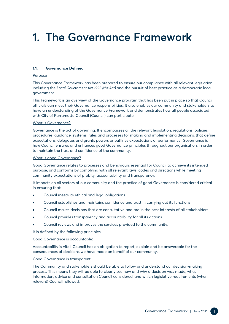# 1. The Governance Framework

# 1.1. Governance Defined

#### Purpose

This Governance Framework has been prepared to ensure our compliance with all relevant legislation including the *Local Government Act 1993 (the Act)* and the pursuit of best practice as a democratic local government.

This Framework is an overview of the Governance program that has been put in place so that Council officials can meet their Governance responsibilities. It also enables our community and stakeholders to have an understanding of the Governance Framework and demonstrates how all people associated with City of Parramatta Council (Council) can participate.

#### What is Governance?

Governance is the act of governing. It encompasses all the relevant legislation, regulations, policies, procedures, guidance, systems, rules and processes for making and implementing decisions, that define expectations, delegates and grants powers or outlines expectations of performance. Governance is how Council ensures and enhances good Governance principles throughout our organisation, in order to maintain the trust and confidence of the community.

#### What is good Governance?

Good Governance relates to processes and behaviours essential for Council to achieve its intended purpose, and conforms by complying with all relevant laws, codes and directions while meeting community expectations of probity, accountability and transparency.

It impacts on all sectors of our community and the practice of good Governance is considered critical in ensuring that:

- Council meets its ethical and legal obligations
- Council establishes and maintains confidence and trust in carrying out its functions
- Council makes decisions that are consultative and are in the best interests of all stakeholders
- Council provides transparency and accountability for all its actions
- Council reviews and improves the services provided to the community.

It is defined by the following principles:

#### Good Governance is accountable:

Accountability is vital. Council has an obligation to report, explain and be answerable for the consequences of decisions we have made on behalf of our community.

#### Good Governance is transparent:

The Community and stakeholders should be able to follow and understand our decision-making process. This means they will be able to clearly see how and why a decision was made, what information, advice and consultation Council considered, and which legislative requirements (when relevant) Council followed.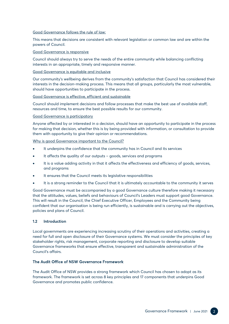### Good Governance follows the rule of law:

This means that decisions are consistent with relevant legislation or common law and are within the powers of Council.

#### Good Governance is responsive

Council should always try to serve the needs of the entire community while balancing conflicting interests in an appropriate, timely and responsive manner.

#### Good Governance is equitable and inclusive

Our community's wellbeing derives from the community's satisfaction that Council has considered their interests in the decision-making process. This means that all groups, particularly the most vulnerable, should have opportunities to participate in the process.

#### Good Governance is effective, efficient and sustainable

Council should implement decisions and follow processes that make the best use of available staff, resources and time, to ensure the best possible results for our community.

#### Good Governance is participatory

Anyone affected by or interested in a decision, should have an opportunity to participate in the process for making that decision, whether this is by being provided with information, or consultation to provide them with opportunity to give their opinion or recommendations.

Why is good Governance important to the Council?

- It underpins the confidence that the community has in Council and its services
- It affects the quality of our outputs goods, services and programs
- It is a value adding activity in that it affects the effectiveness and efficiency of goods, services, and programs
- It ensures that the Council meets its legislative responsibilities
- It is a strong reminder to the Council that it is ultimately accountable to the community it serves

Good Governance must be accompanied by a good Governance culture therefore making it necessary that the attitudes, values, beliefs and behaviours of Council's Leaders must support good Governance. This will result in the Council, the Chief Executive Officer, Employees and the Community being confident that our organisation is being run efficiently, is sustainable and is carrying out the objectives, policies and plans of Council.

# 1.2 Introduction

Local governments are experiencing increasing scrutiny of their operations and activities, creating a need for full and open disclosure of their Governance systems. We must consider the principles of key stakeholder rights, risk management, corporate reporting and disclosure to develop suitable Governance frameworks that ensure effective, transparent and sustainable administration of the Council's affairs.

# The Audit Office of NSW Governance Framework

The Audit Office of NSW provides a strong framework which Council has chosen to adopt as its framework. The framework is set across 8 key principles and 17 components that underpins Good Governance and promotes public confidence.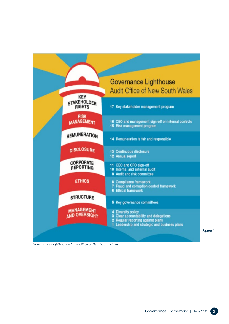

*Governance Lighthouse - Audit Office of New South Wales*

*Figure 1*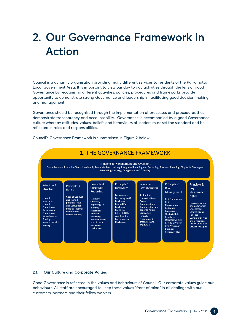# 2. Our Governance Framework in Action

Council is a dynamic organisation providing many different services to residents of the Parramatta Local Government Area. It is important to view our day to day activities through the lens of good Governance by recognising different activities, policies, procedures and frameworks provide opportunity to demonstrate strong Governance and leadership in facilitating good decision making and management.

Governance should be recognised through the implementation of processes and procedures that demonstrate transparency and accountability. Governance is accompanied by a good Governance culture whereby attitudes, values, beliefs and behaviours of leaders must set the standard and be reflected in roles and responsibilities.



Council's Governance Framework is summarised in Figure 2 below:

# 2.1. Our Culture and Corporate Values

Good Governance is reflected in the values and behaviours of Council. Our corporate values guide our behaviours. All staff are encouraged to keep these values "front of mind" in all dealings with our customers, partners and their fellow workers.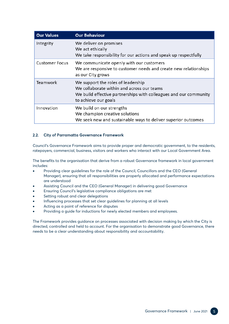| <b>Our Values</b>     | <b>Our Behaviour</b>                                                                                                                                                          |
|-----------------------|-------------------------------------------------------------------------------------------------------------------------------------------------------------------------------|
| Integrity             | We deliver on promises<br>We act ethically<br>We take responsibility for our actions and speak up respectfully                                                                |
| <b>Customer Focus</b> | We communicate openly with our customers<br>We are responsive to customer needs and create new relationships<br>as our City grows                                             |
| Teamwork              | We support the roles of leadership<br>We collaborate within and across our teams<br>We build effective partnerships with colleagues and our community<br>to achieve our goals |
| Innovation            | We build on our strengths<br>We champion creative solutions<br>We seek new and sustainable ways to deliver superior outcomes                                                  |

# 2.2. City of Parramatta Governance Framework

Council's Governance Framework aims to provide proper and democratic government, to the residents, ratepayers, commercial, business, visitors and workers who interact with our Local Government Area.

The benefits to the organisation that derive from a robust Governance framework in local government includes:

- Providing clear guidelines for the role of the Council, Councillors and the CEO (General Manager), ensuring that all responsibilities are properly allocated and performance expectations are understood
- Assisting Council and the CEO (General Manager) in delivering good Governance
- Ensuring Council's legislative compliance obligations are met
- Setting robust and clear delegations
- Influencing processes that set clear guidelines for planning at all levels
- Acting as a point of reference for disputes
- Providing a guide for inductions for newly elected members and employees.

The Framework provides guidance on processes associated with decision making by which the City is directed, controlled and held to account. For the organisation to demonstrate good Governance, there needs to be a clear understanding about responsibility and accountability.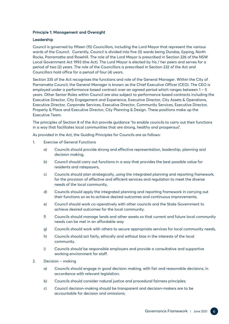# Principle 1: Management and Oversight

# Leadership

Council is governed by fifteen (15) Councillors, including the Lord Mayor that represent the various wards of the Council. Currently, Council is divided into five (5) wards being Dundas, Epping, North Rocks, Parramatta and Rosehill. The role of the Lord Mayor is prescribed in Section 226 of the NSW Local Government Act 1993 (the Act). The Lord Mayor is elected by his / her peers and serves for a period of two (2) years. The role of the Councillors is prescribed in Section 232 of the Act and Councillors hold office for a period of four (4) years.

Section 335 of the Act recognises the functions and role of the General Manager. Within the City of Parramatta Council, the General Manager is known as the Chief Executive Officer (CEO). The CEO is employed under a performance based contract over an agreed period which ranges between 1 – 5 years. Other Senior Roles within Council are also subject to performance based contracts including the Executive Director, City Engagement and Experience, Executive Director, City Assets & Operations, Executive Director, Corporate Services, Executive Director, Community Services, Executive Director, Property & Place and Executive Director, City Planning & Design. These positions make up the Executive Team.

The principles of Section 8 of the Act provide guidance "to enable councils to carry out their functions in a way that facilitates local communities that are strong, healthy and prosperous".

As provided in the Act, the Guiding Principles for Councils are as follows:

- 1. Exercise of General Functions
	- a) Councils should provide strong and effective representation, leadership, planning and decision making,
	- b) Council should carry out functions in a way that provides the best possible value for residents and ratepayers,
	- c) Councils should plan strategically, using the integrated planning and reporting framework, for the provision of effective and efficient services and regulation to meet the diverse needs of the local community,
	- d) Councils should apply the integrated planning and reporting framework in carrying out their functions so as to achieve desired outcomes and continuous improvements,
	- e) Council should work co-operatively with other councils and the State Government to achieve desired outcomes for the local community.
	- f) Councils should manage lands and other assets so that current and future local community needs can be met in an affordable way
	- g) Councils should work with others to secure appropriate services for local community needs,
	- h) Councils should act fairly, ethically and without bias in the interests of the local community.
	- i) Councils should be responsible employers and provide a consultative and supportive working environment for staff.
- 2. Decision making
	- a) Councils should engage in good decision making, with fair and reasonable decisions, in accordance with relevant legislation;
	- b) Councils should consider natural justice and procedural fairness principles;
	- c) Council decision-making should be transparent and decision-makers are to be accountable for decision and omissions;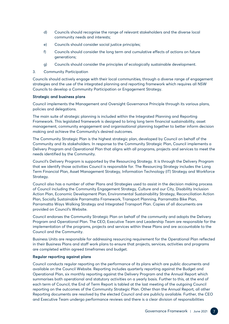- d) Councils should recognise the range of relevant stakeholders and the diverse local community needs and interests;
- e) Councils should consider social justice principles;
- f) Councils should consider the long term and cumulative effects of actions on future generations;
- g) Councils should consider the principles of ecologically sustainable development.
- 3. Community Participation

Councils should actively engage with their local communities, through a diverse range of engagement strategies and the use of the integrated planning and reporting framework which requires all NSW Councils to develop a Community Participation or Engagement Strategy.

# Strategic and business plans

Council implements the Management and Oversight Governance Principle through its various plans, policies and delegations.

The main suite of strategic planning is included within the Integrated Planning and Reporting Framework. This legislated framework is designed to bring long term financial sustainability, asset management, community engagement and organisational planning together to better inform decision making and achieve the Community's desired outcomes.

The Community Strategic Plan is the highest strategic plan, developed by Council on behalf of the Community and its stakeholders. In response to the Community Strategic Plan, Council implements a Delivery Program and Operational Plan that aligns with all programs, projects and services to meet the needs identified by the Community.

Council's Delivery Program is supported by the Resourcing Strategy. It is through the Delivery Program that we identify those activities Council is responsible for. The Resourcing Strategy includes the Long Term Financial Plan, Asset Management Strategy, Information Technology (IT) Strategy and Workforce Strategy.

Council also has a number of other Plans and Strategies used to assist in the decision making process of Council including the Community Engagement Strategy, Culture and our City, Disability Inclusion Action Plan, Economic Development Plan, Environmental Sustainability Strategy, Reconciliation Action Plan, Socially Sustainable Parramatta Framework, Transport Planning, Parramatta Bike Plan, Parramatta Ways Walking Strategy and Integrated Transport Plan. Copies of all documents are provided on Council's Website.

Council endorses the Community Strategic Plan on behalf of the community and adopts the Delivery Program and Operational Plan. The CEO, Executive Team and Leadership Team are responsible for the implementation of the programs, projects and services within these Plans and are accountable to the Council and the Community.

Business Units are responsible for addressing resourcing requirement for the Operational Plan reflected in their Business Plans and staff work plans to ensure that projects, services, activities and programs are completed within agreed timeframes and budget.

# Regular reporting against plans

Council conducts regular reporting on the performance of its plans which are public documents and available on the Council Website. Reporting includes quarterly reporting against the Budget and Operational Plan, six monthly reporting against the Delivery Program and the Annual Report which summarises both operational and statutory activities on a yearly basis. Further to this, at the end of each term of Council, the End of Term Report is tabled at the last meeting of the outgoing Council reporting on the outcomes of the Community Strategic Plan. Other than the Annual Report, all other Reporting documents are resolved by the elected Council and are publicly available. Further, the CEO and Executive Team undergo performance reviews and there is a clear division of responsibilities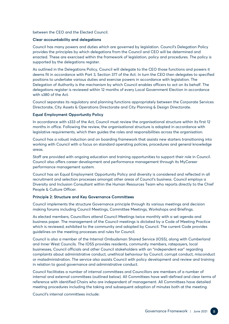between the CEO and the Elected Council.

#### Clear accountability and delegations

Council has many powers and duties which are governed by legislation. Council's Delegation Policy provides the principles by which delegations from the Council and CEO will be determined and enacted. These are exercised within the framework of legislation, policy and procedures. The policy is supported by the delegations register.

As outlined in the Delegations Policy, Council will delegate to the CEO those functions and powers it deems fit in accordance with Part 3, Section 377 of the Act. In turn the CEO then delegates to specified positions to undertake various duties and exercise powers in accordance with legislation. The Delegation of Authority is the mechanism by which Council enables officers to act on its behalf. The delegations register is reviewed within 12 months of every Local Government Election in accordance with s380 of the Act.

Council separates its regulatory and planning functions appropriately between the Corporate Services Directorate, City Assets & Operations Directorate and City Planning & Design Directorate.

#### Equal Employment Opportunity Policy

In accordance with s333 of the Act, Council must review the organisational structure within its first 12 months in office. Following the review, the organisational structure is adopted in accordance with legislative requirements, which then guides the roles and responsibilities across the organisation.

Council has a robust induction and on boarding framework that assists new starters transitioning into working with Council with a focus on standard operating policies, procedures and general knowledge areas.

Staff are provided with ongoing education and training opportunities to support their role in Council. Council also offers career development and performance management through its MyCareer performance management system.

Council has an Equal Employment Opportunity Policy and diversity is considered and reflected in all recruitment and selection processes amongst other areas of Council's business. Council employs a Diversity and Inclusion Consultant within the Human Resources Team who reports directly to the Chief People & Culture Officer.

# Principle 2: Structure and Key Governance Committees

Council implements the structure Governance principle through its various meetings and decision making forums including Council Meetings, Committee Meetings, Workshops and Briefings.

As elected members, Councillors attend Council Meetings twice monthly with a set agenda and business paper. The management of the Council meetings is dictated by a Code of Meeting Practice which is reviewed, exhibited to the community and adopted by Council. The current Code provides guidelines on the meeting processes and rules for Council.

Council is also a member of the Internal Ombudsman Shared Service (IOSS), along with Cumberland and Inner West Councils. The IOSS provides residents, community members, ratepayers, local businesses, Council officials and other Council stakeholders with an "independent ear" regarding complaints about administrative conduct, unethical behaviour by Council, corrupt conduct, misconduct or maladministration. The service also assists Council with policy development and review and training in relation to good governance and administrative conduct.

Council facilitates a number of internal committees and Councillors are members of a number of internal and external committees (outlined below). All Committees have well-defined and clear terms of reference with identified Chairs who are independent of management. All Committees have detailed meeting procedures including the taking and subsequent adoption of minutes both at the meeting.

Council's internal committees include: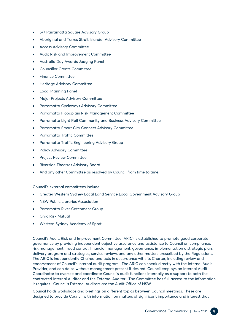- 5/7 Parramatta Square Advisory Group
- Aboriginal and Torres Strait Islander Advisory Committee
- Access Advisory Committee
- Audit Risk and Improvement Committee
- Australia Day Awards Judging Panel
- Councillor Grants Committee
- Finance Committee
- Heritage Advisory Committee
- Local Planning Panel
- Major Projects Advisory Committee
- Parramatta Cycleways Advisory Committee
- Parramatta Floodplain Risk Management Committee
- Parramatta Light Rail Community and Business Advisory Committee
- Parramatta Smart City Connect Advisory Committee
- Parramatta Traffic Committee
- Parramatta Traffic Engineering Advisory Group
- Policy Advisory Committee
- Project Review Committee
- Riverside Theatres Advisory Board
- And any other Committee as resolved by Council from time to time.

Council's external committees include:

- Greater Western Sydney Local Land Service Local Government Advisory Group
- NSW Public Libraries Association
- Parramatta River Catchment Group
- Civic Risk Mutual
- Western Sydney Academy of Sport

Council's Audit, Risk and Improvement Committee (ARIC) is established to promote good corporate governance by providing independent objective assurance and assistance to Council on compliance, risk management, fraud control, financial management, governance, implementation o strategic plan, delivery program and strategies, service reviews and any other matters prescribed by the Regulations. The ARIC is independently Chaired and acts in accordance with its Charter, including review and endorsement of Council's internal audit program. The ARIC can speak directly with the Internal Audit Provider, and can do so without management present if desired. Council employs an Internal Audit Coordinator to oversee and coordinate Council's audit functions internally as a support to both the contracted Internal Auditor and the External Auditor. The Committee has full access to the information it requires. Council's External Auditors are the Audit Office of NSW.

Council holds workshops and briefings on different topics between Council meetings. These are designed to provide Council with information on matters of significant importance and interest that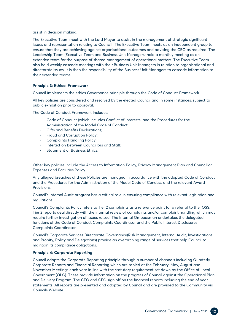assist in decision making.

The Executive Team meet with the Lord Mayor to assist in the management of strategic significant issues and representation relating to Council. The Executive Team meets as an independent group to ensure that they are achieving against organisational outcomes and advising the CEO as required. The Leadership Team (Executive Team and Business Unit Managers) hold a monthly meeting as an extended team for the purpose of shared management of operational matters. The Executive Team also hold weekly cascade meetings with their Business Unit Managers in relation to organisational and directorate issues. It is then the responsibility of the Business Unit Managers to cascade information to their extended teams.

# Principle 3: Ethical Framework

Council implements the ethics Governance principle through the Code of Conduct Framework.

All key policies are considered and resolved by the elected Council and in some instances, subject to public exhibition prior to approval.

The Code of Conduct Framework includes:

- Code of Conduct (which includes Conflict of Interests) and the Procedures for the Administration of the Model Code of Conduct;
- Gifts and Benefits Declarations;
- Fraud and Corruption Policy;
- Complaints Handling Policy;
- Interaction Between Councillors and Staff;
- Statement of Business Ethics.

Other key policies include the Access to Information Policy, Privacy Management Plan and Councillor Expenses and Facilities Policy.

Any alleged breaches of these Policies are managed in accordance with the adopted Code of Conduct and the Procedures for the Administration of the Model Code of Conduct and the relevant Award Provisions.

Council's Internal Audit program has a critical role in ensuring compliance with relevant legislation and regulations.

Council's Complaints Policy refers to Tier 2 complaints as a reference point for a referral to the IOSS. Tier 2 reports deal directly with the internal review of complaints and/or complaint handling which may require further investigation of issues raised. The Internal Ombudsman undertakes the delegated functions of the Code of Conduct Complaints Coordinator and the Public Interest Disclosures Complaints Coordinator.

Council's Corporate Services Directorate Governance(Risk Management, Internal Audit, Investigations and Probity, Policy and Delegations) provide an overarching range of services that help Council to maintain its compliance obligations.

#### Principle 4: Corporate Reporting

Council adapts the Corporate Reporting principle through a number of channels including Quarterly Corporate Reports and Financial Reporting which are tabled at the February, May, August and November Meetings each year in line with the statutory requirement set down by the Office of Local Government (OLG). These provide information on the progress of Council against the Operational Plan and Delivery Program. The CEO and CFO sign off on the financial reports including the end of year statements. All reports are presented and adopted by Council and are provided to the Community via Councils Website.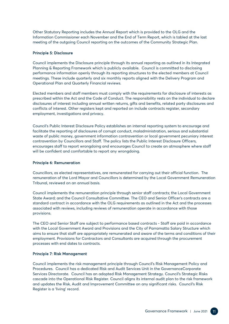Other Statutory Reporting includes the Annual Report which is provided to the OLG and the Information Commissioner each November and the End of Term Report, which is tabled at the last meeting of the outgoing Council reporting on the outcomes of the Community Strategic Plan.

### Principle 5: Disclosure

Council implements the Disclosure principle through its annual reporting as outlined in its Integrated Planning & Reporting Framework which is publicly available. Council is committed to disclosing performance information openly through its reporting structures to the elected members at Council meetings. These include quarterly and six monthly reports aligned with the Delivery Program and Operational Plan and Quarterly Financial reviews.

Elected members and staff members must comply with the requirements for disclosure of interests as prescribed within the Act and the Code of Conduct. The responsibility rests on the individual to declare disclosures of interest including annual written returns, gifts and benefits, related party disclosures and conflicts of interest. Other registers kept and reported on include contracts register, secondary employment, investigations and privacy.

Council's Public Interest Disclosure Policy establishes an internal reporting system to encourage and facilitate the reporting of disclosures of corrupt conduct, maladministration, serious and substantial waste of public money, government information contravention or local government pecuniary interest contravention by Councillors and Staff. The policy lists the Public Interest Disclosure Officers, encourages staff to report wrongdoing and encourages Council to create an atmosphere where staff will be confident and comfortable to report any wrongdoing.

#### Principle 6: Remuneration

Councillors, as elected representatives, are remunerated for carrying out their official function. The remuneration of the Lord Mayor and Councillors is determined by the Local Government Remuneration Tribunal, reviewed on an annual basis.

Council implements the remuneration principle through senior staff contracts; the Local Government State Award; and the Council Consultative Committee. The CEO and Senior Officer's contracts are a standard contract in accordance with the OLG requirements as outlined in the Act and the processes associated with reviews, including reviews of remuneration operate in accordance with those provisions.

The CEO and Senior Staff are subject to performance based contracts - Staff are paid in accordance with the Local Government Award and Provisions and the City of Parramatta Salary Structure which aims to ensure that staff are appropriately remunerated and aware of the terms and conditions of their employment. Provisions for Contractors and Consultants are acquired through the procurement processes with end dates to contracts.

#### Principle 7: Risk Management

Council implements the risk management principle through Council's Risk Management Policy and Procedures. Council has a dedicated Risk and Audit Services Unit in the GovernanceCorporate Services Directorate. Council has an adopted Risk Management Strategy. Council's Strategic Risks cascade into the Operational Risk Register. Council aligns its internal audit plan to the risk framework and updates the Risk, Audit and Improvement Committee on any significant risks. Council's Risk Register is a 'living' record.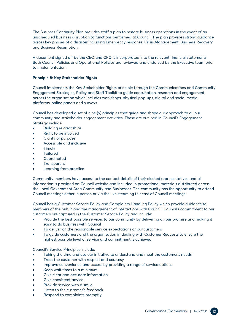The Business Continuity Plan provides staff a plan to restore business operations in the event of an unscheduled business disruption to functions performed at Council. The plan provides strong guidance across key phases of a disaster including Emergency response, Crisis Management, Business Recovery and Business Resumption.

A document signed off by the CEO and CFO is incorporated into the relevant financial statements. Both Council Policies and Operational Policies are reviewed and endorsed by the Executive team prior to implementation.

# Principle 8: Key Stakeholder Rights

Council implements the Key Stakeholder Rights principle through the Communications and Community Engagement Strategies, Policy and Staff Toolkit to guide consultation, research and engagement across the organisation which includes workshops, physical pop-ups, digital and social media platforms, online panels and surveys.

Council has developed a set of nine (9) principles that guide and shape our approach to all our community and stakeholder engagement activities. These are outlined in Council's Engagement Strategy include:

- Building relationships
- Right to be involved
- Clarity of purpose
- Accessible and inclusive
- **Timely**
- **Tailored**
- **Coordinated**
- **Transparent**
- Learning from practice

Community members have access to the contact details of their elected representatives and all information is provided on Council website and included in promotional materials distributed across the Local Government Area Community and Businesses. The community has the opportunity to attend Council meetings either in person or via the live steaming telecast of Council meetings.

Council has a Customer Service Policy and Complaints Handling Policy which provide guidance to members of the public and the management of interactions with Council. Council's commitment to our customers are captured in the Customer Service Policy and include:

- Provide the best possible services to our community by delivering on our promise and making it easy to do business with Council
- To deliver on the reasonable service expectations of our customers
- To guide customers and the organisation in dealing with Customer Requests to ensure the highest possible level of service and commitment is achieved.

Council's Service Principles include:

- Taking the time and use our initiative to understand and meet the customer's needs'
- Treat the customer with respect and courtesy
- Improve convenience and access by providing a range of service options
- Keep wait times to a minimum
- Give clear and accurate information
- Give consistent advice
- Provide service with a smile
- Listen to the customer's feedback
- Respond to complaints promptly